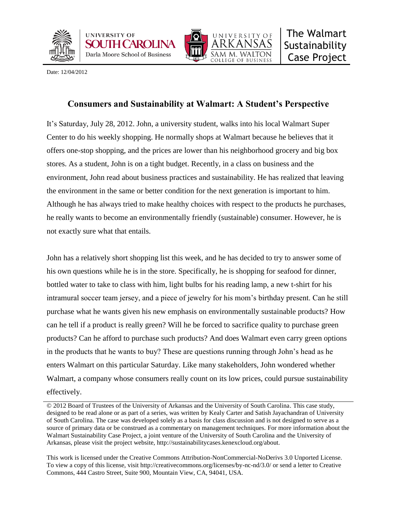





Date: 12/04/2012

# **Consumers and Sustainability at Walmart: A Student's Perspective**

It's Saturday, July 28, 2012. John, a university student, walks into his local Walmart Super Center to do his weekly shopping. He normally shops at Walmart because he believes that it offers one-stop shopping, and the prices are lower than his neighborhood grocery and big box stores. As a student, John is on a tight budget. Recently, in a class on business and the environment, John read about business practices and sustainability. He has realized that leaving the environment in the same or better condition for the next generation is important to him. Although he has always tried to make healthy choices with respect to the products he purchases, he really wants to become an environmentally friendly (sustainable) consumer. However, he is not exactly sure what that entails.

John has a relatively short shopping list this week, and he has decided to try to answer some of his own questions while he is in the store. Specifically, he is shopping for seafood for dinner, bottled water to take to class with him, light bulbs for his reading lamp, a new t-shirt for his intramural soccer team jersey, and a piece of jewelry for his mom's birthday present. Can he still purchase what he wants given his new emphasis on environmentally sustainable products? How can he tell if a product is really green? Will he be forced to sacrifice quality to purchase green products? Can he afford to purchase such products? And does Walmart even carry green options in the products that he wants to buy? These are questions running through John's head as he enters Walmart on this particular Saturday. Like many stakeholders, John wondered whether Walmart, a company whose consumers really count on its low prices, could pursue sustainability effectively.

This work is licensed under the Creative Commons Attribution-NonCommercial-NoDerivs 3.0 Unported License. To view a copy of this license, visit http://creativecommons.org/licenses/by-nc-nd/3.0/ or send a letter to Creative Commons, 444 Castro Street, Suite 900, Mountain View, CA, 94041, USA.

<sup>© 2012</sup> Board of Trustees of the University of Arkansas and the University of South Carolina. This case study, designed to be read alone or as part of a series, was written by Kealy Carter and Satish Jayachandran of University of South Carolina. The case was developed solely as a basis for class discussion and is not designed to serve as a source of primary data or be construed as a commentary on management techniques. For more information about the Walmart Sustainability Case Project, a joint venture of the University of South Carolina and the University of Arkansas, please visit the project website, http://sustainabilitycases.kenexcloud.org/about.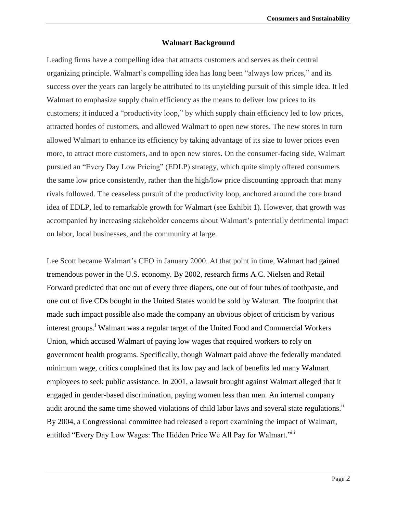#### **Walmart Background**

Leading firms have a compelling idea that attracts customers and serves as their central organizing principle. Walmart's compelling idea has long been "always low prices," and its success over the years can largely be attributed to its unyielding pursuit of this simple idea. It led Walmart to emphasize supply chain efficiency as the means to deliver low prices to its customers; it induced a "productivity loop," by which supply chain efficiency led to low prices, attracted hordes of customers, and allowed Walmart to open new stores. The new stores in turn allowed Walmart to enhance its efficiency by taking advantage of its size to lower prices even more, to attract more customers, and to open new stores. On the consumer-facing side, Walmart pursued an "Every Day Low Pricing" (EDLP) strategy, which quite simply offered consumers the same low price consistently, rather than the high/low price discounting approach that many rivals followed. The ceaseless pursuit of the productivity loop, anchored around the core brand idea of EDLP, led to remarkable growth for Walmart (see Exhibit 1). However, that growth was accompanied by increasing stakeholder concerns about Walmart's potentially detrimental impact on labor, local businesses, and the community at large.

Lee Scott became Walmart's CEO in January 2000. At that point in time, Walmart had gained tremendous power in the U.S. economy. By 2002, research firms A.C. Nielsen and Retail Forward predicted that one out of every three diapers, one out of four tubes of toothpaste, and one out of five CDs bought in the United States would be sold by Walmart. The footprint that made such impact possible also made the company an obvious object of criticism by various interest groups.<sup>i</sup> Walmart was a regular target of the United Food and Commercial Workers Union, which accused Walmart of paying low wages that required workers to rely on government health programs. Specifically, though Walmart paid above the federally mandated minimum wage, critics complained that its low pay and lack of benefits led many Walmart employees to seek public assistance. In 2001, a lawsuit brought against Walmart alleged that it engaged in gender-based discrimination, paying women less than men. An internal company audit around the same time showed violations of child labor laws and several state regulations.<sup>ii</sup> By 2004, a Congressional committee had released a report examining the impact of Walmart, entitled "Every Day Low Wages: The Hidden Price We All Pay for Walmart."<sup>iii</sup>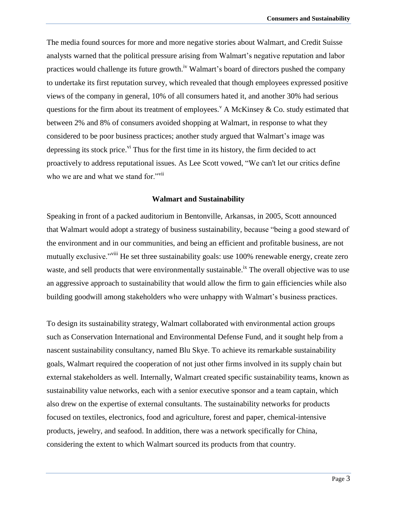The media found sources for more and more negative stories about Walmart, and Credit Suisse analysts warned that the political pressure arising from Walmart's negative reputation and labor practices would challenge its future growth.<sup>iv</sup> Walmart's board of directors pushed the company to undertake its first reputation survey, which revealed that though employees expressed positive views of the company in general, 10% of all consumers hated it, and another 30% had serious questions for the firm about its treatment of employees.<sup> $\rm{v}$ </sup> A McKinsey & Co. study estimated that between 2% and 8% of consumers avoided shopping at Walmart, in response to what they considered to be poor business practices; another study argued that Walmart's image was depressing its stock price.<sup>vi</sup> Thus for the first time in its history, the firm decided to act proactively to address reputational issues. As Lee Scott vowed, "We can't let our critics define who we are and what we stand for."<sup>vii</sup>

#### **Walmart and Sustainability**

Speaking in front of a packed auditorium in Bentonville, Arkansas, in 2005, Scott announced that Walmart would adopt a strategy of business sustainability, because "being a good steward of the environment and in our communities, and being an efficient and profitable business, are not mutually exclusive."<sup>viii</sup> He set three sustainability goals: use 100% renewable energy, create zero waste, and sell products that were environmentally sustainable.<sup>ix</sup> The overall objective was to use an aggressive approach to sustainability that would allow the firm to gain efficiencies while also building goodwill among stakeholders who were unhappy with Walmart's business practices.

To design its sustainability strategy, Walmart collaborated with environmental action groups such as Conservation International and Environmental Defense Fund, and it sought help from a nascent sustainability consultancy, named Blu Skye. To achieve its remarkable sustainability goals, Walmart required the cooperation of not just other firms involved in its supply chain but external stakeholders as well. Internally, Walmart created specific sustainability teams, known as sustainability value networks, each with a senior executive sponsor and a team captain, which also drew on the expertise of external consultants. The sustainability networks for products focused on textiles, electronics, food and agriculture, forest and paper, chemical-intensive products, jewelry, and seafood. In addition, there was a network specifically for China, considering the extent to which Walmart sourced its products from that country.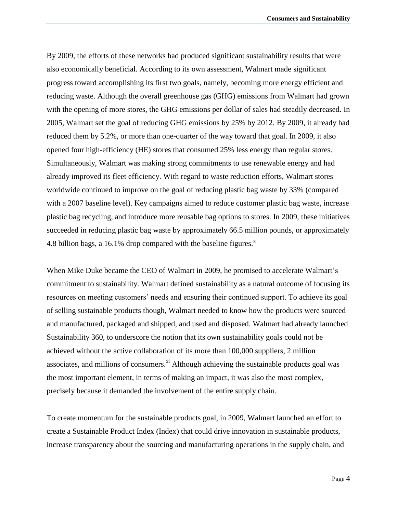By 2009, the efforts of these networks had produced significant sustainability results that were also economically beneficial. According to its own assessment, Walmart made significant progress toward accomplishing its first two goals, namely, becoming more energy efficient and reducing waste. Although the overall greenhouse gas (GHG) emissions from Walmart had grown with the opening of more stores, the GHG emissions per dollar of sales had steadily decreased. In 2005, Walmart set the goal of reducing GHG emissions by 25% by 2012. By 2009, it already had reduced them by 5.2%, or more than one-quarter of the way toward that goal. In 2009, it also opened four high-efficiency (HE) stores that consumed 25% less energy than regular stores. Simultaneously, Walmart was making strong commitments to use renewable energy and had already improved its fleet efficiency. With regard to waste reduction efforts, Walmart stores worldwide continued to improve on the goal of reducing plastic bag waste by 33% (compared with a 2007 baseline level). Key campaigns aimed to reduce customer plastic bag waste, increase plastic bag recycling, and introduce more reusable bag options to stores. In 2009, these initiatives succeeded in reducing plastic bag waste by approximately 66.5 million pounds, or approximately 4.8 billion bags, a 16.1% drop compared with the baseline figures. $^x$ 

When Mike Duke became the CEO of Walmart in 2009, he promised to accelerate Walmart's commitment to sustainability. Walmart defined sustainability as a natural outcome of focusing its resources on meeting customers' needs and ensuring their continued support. To achieve its goal of selling sustainable products though, Walmart needed to know how the products were sourced and manufactured, packaged and shipped, and used and disposed. Walmart had already launched Sustainability 360, to underscore the notion that its own sustainability goals could not be achieved without the active collaboration of its more than 100,000 suppliers, 2 million associates, and millions of consumers. $^{\text{xi}}$  Although achieving the sustainable products goal was the most important element, in terms of making an impact, it was also the most complex, precisely because it demanded the involvement of the entire supply chain.

To create momentum for the sustainable products goal, in 2009, Walmart launched an effort to create a Sustainable Product Index (Index) that could drive innovation in sustainable products, increase transparency about the sourcing and manufacturing operations in the supply chain, and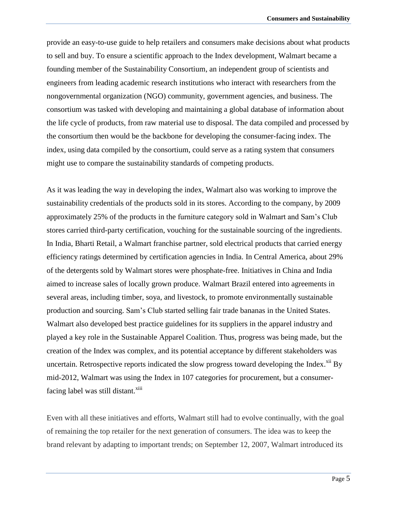provide an easy-to-use guide to help retailers and consumers make decisions about what products to sell and buy. To ensure a scientific approach to the Index development, Walmart became a founding member of the Sustainability Consortium, an independent group of scientists and engineers from leading academic research institutions who interact with researchers from the nongovernmental organization (NGO) community, government agencies, and business. The consortium was tasked with developing and maintaining a global database of information about the life cycle of products, from raw material use to disposal. The data compiled and processed by the consortium then would be the backbone for developing the consumer-facing index. The index, using data compiled by the consortium, could serve as a rating system that consumers might use to compare the sustainability standards of competing products.

As it was leading the way in developing the index, Walmart also was working to improve the sustainability credentials of the products sold in its stores. According to the company, by 2009 approximately 25% of the products in the furniture category sold in Walmart and Sam's Club stores carried third-party certification, vouching for the sustainable sourcing of the ingredients. In India, Bharti Retail, a Walmart franchise partner, sold electrical products that carried energy efficiency ratings determined by certification agencies in India. In Central America, about 29% of the detergents sold by Walmart stores were phosphate-free. Initiatives in China and India aimed to increase sales of locally grown produce. Walmart Brazil entered into agreements in several areas, including timber, soya, and livestock, to promote environmentally sustainable production and sourcing. Sam's Club started selling fair trade bananas in the United States. Walmart also developed best practice guidelines for its suppliers in the apparel industry and played a key role in the Sustainable Apparel Coalition. Thus, progress was being made, but the creation of the Index was complex, and its potential acceptance by different stakeholders was uncertain. Retrospective reports indicated the slow progress toward developing the Index. $\frac{X}{Y}$ By mid-2012, Walmart was using the Index in 107 categories for procurement, but a consumerfacing label was still distant.<sup>xiii</sup>

Even with all these initiatives and efforts, Walmart still had to evolve continually, with the goal of remaining the top retailer for the next generation of consumers. The idea was to keep the brand relevant by adapting to important trends; on September 12, 2007, Walmart introduced its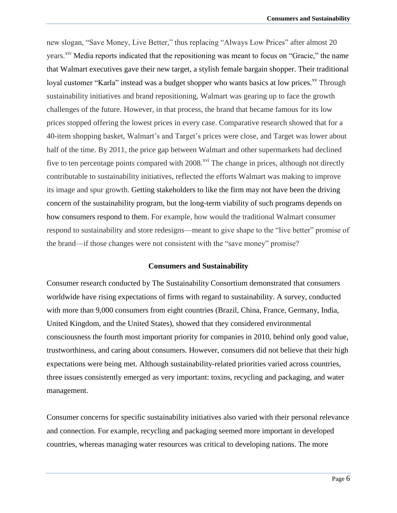new slogan, "Save Money, Live Better," thus replacing "Always Low Prices" after almost 20 years.<sup>xiv</sup> Media reports indicated that the repositioning was meant to focus on "Gracie," the name that Walmart executives gave their new target, a stylish female bargain shopper. Their traditional loyal customer "Karla" instead was a budget shopper who wants basics at low prices.<sup>xv</sup> Through sustainability initiatives and brand repositioning, Walmart was gearing up to face the growth challenges of the future. However, in that process, the brand that became famous for its low prices stopped offering the lowest prices in every case. Comparative research showed that for a 40-item shopping basket, Walmart's and Target's prices were close, and Target was lower about half of the time. By 2011, the price gap between Walmart and other supermarkets had declined five to ten percentage points compared with  $2008$ <sup>xvi</sup>. The change in prices, although not directly contributable to sustainability initiatives, reflected the efforts Walmart was making to improve its image and spur growth. Getting stakeholders to like the firm may not have been the driving concern of the sustainability program, but the long-term viability of such programs depends on how consumers respond to them. For example, how would the traditional Walmart consumer respond to sustainability and store redesigns—meant to give shape to the "live better" promise of the brand—if those changes were not consistent with the "save money" promise?

#### **Consumers and Sustainability**

Consumer research conducted by The Sustainability Consortium demonstrated that consumers worldwide have rising expectations of firms with regard to sustainability. A survey, conducted with more than 9,000 consumers from eight countries (Brazil, China, France, Germany, India, United Kingdom, and the United States), showed that they considered environmental consciousness the fourth most important priority for companies in 2010, behind only good value, trustworthiness, and caring about consumers. However, consumers did not believe that their high expectations were being met. Although sustainability-related priorities varied across countries, three issues consistently emerged as very important: toxins, recycling and packaging, and water management.

Consumer concerns for specific sustainability initiatives also varied with their personal relevance and connection. For example, recycling and packaging seemed more important in developed countries, whereas managing water resources was critical to developing nations. The more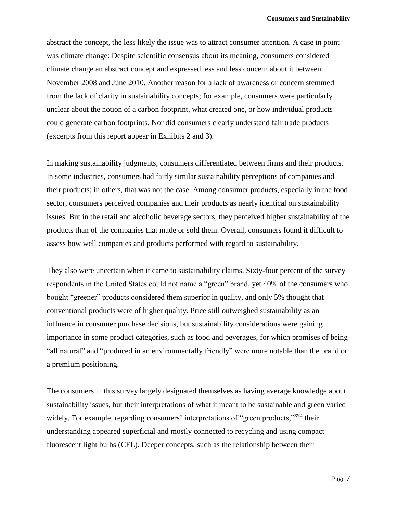abstract the concept, the less likely the issue was to attract consumer attention. A case in point was climate change: Despite scientific consensus about its meaning, consumers considered climate change an abstract concept and expressed less and less concern about it between November 2008 and June 2010. Another reason for a lack of awareness or concern stemmed from the lack of clarity in sustainability concepts; for example, consumers were particularly unclear about the notion of a carbon footprint, what created one, or how individual products could generate carbon footprints. Nor did consumers clearly understand fair trade products (excerpts from this report appear in Exhibits 2 and 3).

In making sustainability judgments, consumers differentiated between firms and their products. In some industries, consumers had fairly similar sustainability perceptions of companies and their products; in others, that was not the case. Among consumer products, especially in the food sector, consumers perceived companies and their products as nearly identical on sustainability issues. But in the retail and alcoholic beverage sectors, they perceived higher sustainability of the products than of the companies that made or sold them. Overall, consumers found it difficult to assess how well companies and products performed with regard to sustainability.

They also were uncertain when it came to sustainability claims. Sixty-four percent of the survey respondents in the United States could not name a "green" brand, yet 40% of the consumers who bought "greener" products considered them superior in quality, and only 5% thought that conventional products were of higher quality. Price still outweighed sustainability as an influence in consumer purchase decisions, but sustainability considerations were gaining importance in some product categories, such as food and beverages, for which promises of being "all natural" and "produced in an environmentally friendly" were more notable than the brand or a premium positioning.

The consumers in this survey largely designated themselves as having average knowledge about sustainability issues, but their interpretations of what it meant to be sustainable and green varied widely. For example, regarding consumers' interpretations of "green products,"<sup>xvii</sup> their understanding appeared superficial and mostly connected to recycling and using compact fluorescent light bulbs (CFL). Deeper concepts, such as the relationship between their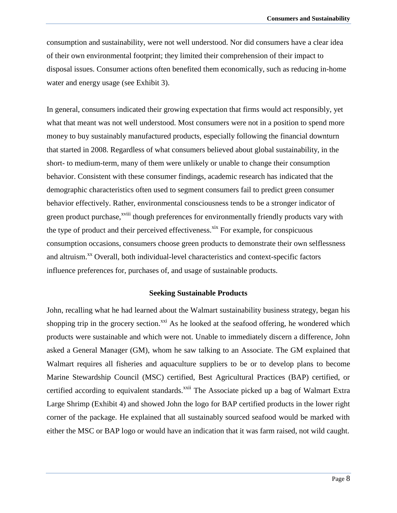consumption and sustainability, were not well understood. Nor did consumers have a clear idea of their own environmental footprint; they limited their comprehension of their impact to disposal issues. Consumer actions often benefited them economically, such as reducing in-home water and energy usage (see Exhibit 3).

In general, consumers indicated their growing expectation that firms would act responsibly, yet what that meant was not well understood. Most consumers were not in a position to spend more money to buy sustainably manufactured products, especially following the financial downturn that started in 2008. Regardless of what consumers believed about global sustainability, in the short- to medium-term, many of them were unlikely or unable to change their consumption behavior. Consistent with these consumer findings, academic research has indicated that the demographic characteristics often used to segment consumers fail to predict green consumer behavior effectively. Rather, environmental consciousness tends to be a stronger indicator of green product purchase,<sup>xviii</sup> though preferences for environmentally friendly products vary with the type of product and their perceived effectiveness.<sup>xix</sup> For example, for conspicuous consumption occasions, consumers choose green products to demonstrate their own selflessness and altruism.<sup>xx</sup> Overall, both individual-level characteristics and context-specific factors influence preferences for, purchases of, and usage of sustainable products.

### **Seeking Sustainable Products**

John, recalling what he had learned about the Walmart sustainability business strategy, began his shopping trip in the grocery section.<sup> $xxi$ </sup> As he looked at the seafood offering, he wondered which products were sustainable and which were not. Unable to immediately discern a difference, John asked a General Manager (GM), whom he saw talking to an Associate. The GM explained that Walmart requires all fisheries and aquaculture suppliers to be or to develop plans to become Marine Stewardship Council (MSC) certified, Best Agricultural Practices (BAP) certified, or certified according to equivalent standards.<sup>xxii</sup> The Associate picked up a bag of Walmart Extra Large Shrimp (Exhibit 4) and showed John the logo for BAP certified products in the lower right corner of the package. He explained that all sustainably sourced seafood would be marked with either the MSC or BAP logo or would have an indication that it was farm raised, not wild caught.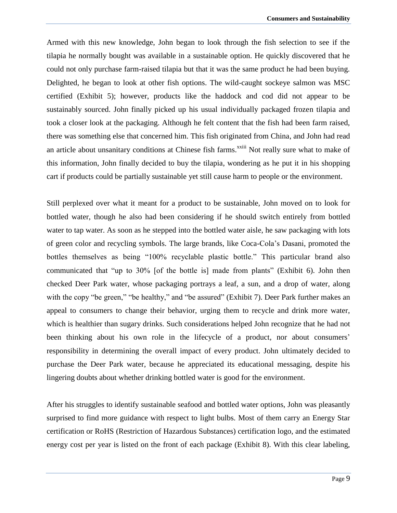Armed with this new knowledge, John began to look through the fish selection to see if the tilapia he normally bought was available in a sustainable option. He quickly discovered that he could not only purchase farm-raised tilapia but that it was the same product he had been buying. Delighted, he began to look at other fish options. The wild-caught sockeye salmon was MSC certified (Exhibit 5); however, products like the haddock and cod did not appear to be sustainably sourced. John finally picked up his usual individually packaged frozen tilapia and took a closer look at the packaging. Although he felt content that the fish had been farm raised, there was something else that concerned him. This fish originated from China, and John had read an article about unsanitary conditions at Chinese fish farms.<sup>xxiii</sup> Not really sure what to make of this information, John finally decided to buy the tilapia, wondering as he put it in his shopping cart if products could be partially sustainable yet still cause harm to people or the environment.

Still perplexed over what it meant for a product to be sustainable, John moved on to look for bottled water, though he also had been considering if he should switch entirely from bottled water to tap water. As soon as he stepped into the bottled water aisle, he saw packaging with lots of green color and recycling symbols. The large brands, like Coca-Cola's Dasani, promoted the bottles themselves as being "100% recyclable plastic bottle." This particular brand also communicated that "up to 30% [of the bottle is] made from plants" (Exhibit 6). John then checked Deer Park water, whose packaging portrays a leaf, a sun, and a drop of water, along with the copy "be green," "be healthy," and "be assured" (Exhibit 7). Deer Park further makes an appeal to consumers to change their behavior, urging them to recycle and drink more water, which is healthier than sugary drinks. Such considerations helped John recognize that he had not been thinking about his own role in the lifecycle of a product, nor about consumers' responsibility in determining the overall impact of every product. John ultimately decided to purchase the Deer Park water, because he appreciated its educational messaging, despite his lingering doubts about whether drinking bottled water is good for the environment.

After his struggles to identify sustainable seafood and bottled water options, John was pleasantly surprised to find more guidance with respect to light bulbs. Most of them carry an Energy Star certification or RoHS (Restriction of Hazardous Substances) certification logo, and the estimated energy cost per year is listed on the front of each package (Exhibit 8). With this clear labeling,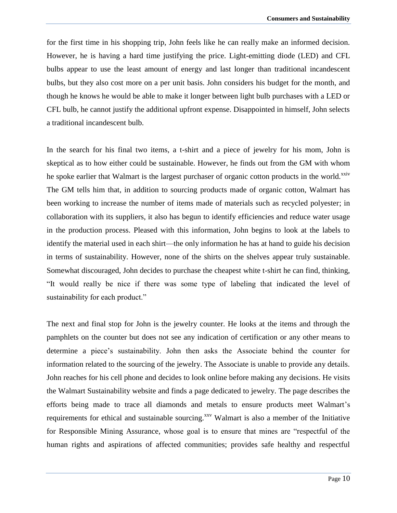for the first time in his shopping trip, John feels like he can really make an informed decision. However, he is having a hard time justifying the price. Light-emitting diode (LED) and CFL bulbs appear to use the least amount of energy and last longer than traditional incandescent bulbs, but they also cost more on a per unit basis. John considers his budget for the month, and though he knows he would be able to make it longer between light bulb purchases with a LED or CFL bulb, he cannot justify the additional upfront expense. Disappointed in himself, John selects a traditional incandescent bulb.

In the search for his final two items, a t-shirt and a piece of jewelry for his mom, John is skeptical as to how either could be sustainable. However, he finds out from the GM with whom he spoke earlier that Walmart is the largest purchaser of organic cotton products in the world.<sup>xxiv</sup> The GM tells him that, in addition to sourcing products made of organic cotton, Walmart has been working to increase the number of items made of materials such as recycled polyester; in collaboration with its suppliers, it also has begun to identify efficiencies and reduce water usage in the production process. Pleased with this information, John begins to look at the labels to identify the material used in each shirt—the only information he has at hand to guide his decision in terms of sustainability. However, none of the shirts on the shelves appear truly sustainable. Somewhat discouraged, John decides to purchase the cheapest white t-shirt he can find, thinking, "It would really be nice if there was some type of labeling that indicated the level of sustainability for each product."

The next and final stop for John is the jewelry counter. He looks at the items and through the pamphlets on the counter but does not see any indication of certification or any other means to determine a piece's sustainability. John then asks the Associate behind the counter for information related to the sourcing of the jewelry. The Associate is unable to provide any details. John reaches for his cell phone and decides to look online before making any decisions. He visits the Walmart Sustainability website and finds a page dedicated to jewelry. The page describes the efforts being made to trace all diamonds and metals to ensure products meet Walmart's requirements for ethical and sustainable sourcing.<sup>xxv</sup> Walmart is also a member of the Initiative for Responsible Mining Assurance, whose goal is to ensure that mines are "respectful of the human rights and aspirations of affected communities; provides safe healthy and respectful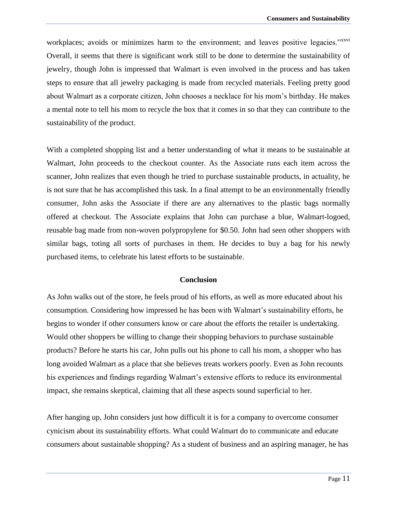workplaces; avoids or minimizes harm to the environment; and leaves positive legacies."xxvi Overall, it seems that there is significant work still to be done to determine the sustainability of jewelry, though John is impressed that Walmart is even involved in the process and has taken steps to ensure that all jewelry packaging is made from recycled materials. Feeling pretty good about Walmart as a corporate citizen, John chooses a necklace for his mom's birthday. He makes a mental note to tell his mom to recycle the box that it comes in so that they can contribute to the sustainability of the product.

With a completed shopping list and a better understanding of what it means to be sustainable at Walmart, John proceeds to the checkout counter. As the Associate runs each item across the scanner, John realizes that even though he tried to purchase sustainable products, in actuality, he is not sure that he has accomplished this task. In a final attempt to be an environmentally friendly consumer, John asks the Associate if there are any alternatives to the plastic bags normally offered at checkout. The Associate explains that John can purchase a blue, Walmart-logoed, reusable bag made from non-woven polypropylene for \$0.50. John had seen other shoppers with similar bags, toting all sorts of purchases in them. He decides to buy a bag for his newly purchased items, to celebrate his latest efforts to be sustainable.

### **Conclusion**

As John walks out of the store, he feels proud of his efforts, as well as more educated about his consumption. Considering how impressed he has been with Walmart's sustainability efforts, he begins to wonder if other consumers know or care about the efforts the retailer is undertaking. Would other shoppers be willing to change their shopping behaviors to purchase sustainable products? Before he starts his car, John pulls out his phone to call his mom, a shopper who has long avoided Walmart as a place that she believes treats workers poorly. Even as John recounts his experiences and findings regarding Walmart's extensive efforts to reduce its environmental impact, she remains skeptical, claiming that all these aspects sound superficial to her.

After hanging up, John considers just how difficult it is for a company to overcome consumer cynicism about its sustainability efforts. What could Walmart do to communicate and educate consumers about sustainable shopping? As a student of business and an aspiring manager, he has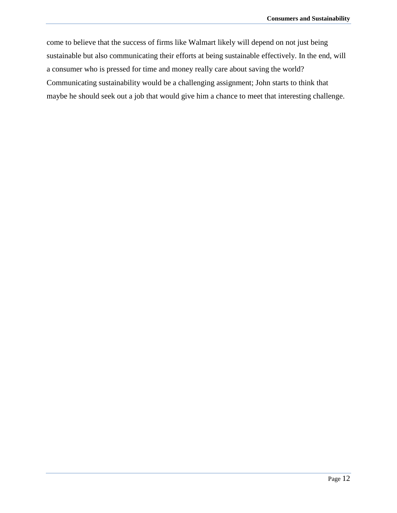come to believe that the success of firms like Walmart likely will depend on not just being sustainable but also communicating their efforts at being sustainable effectively. In the end, will a consumer who is pressed for time and money really care about saving the world? Communicating sustainability would be a challenging assignment; John starts to think that maybe he should seek out a job that would give him a chance to meet that interesting challenge.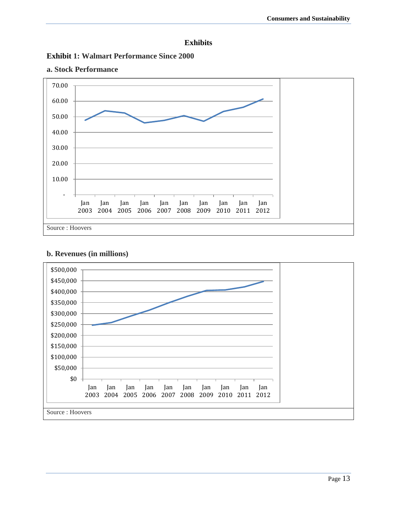





## **a. Stock Performance**

## **b. Revenues (in millions)**

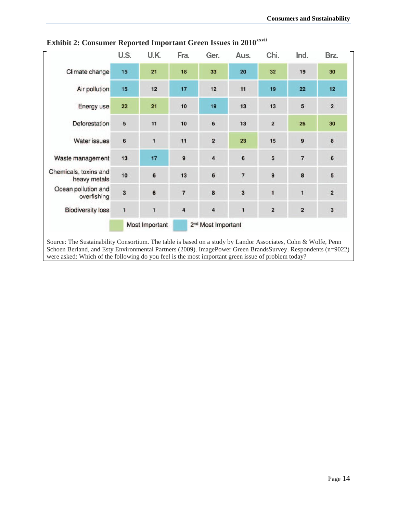|                                       | U.S.                    | U.K.         | Fra.                           | Ger.                    | Aus.           | Chi.                    | Ind.           | Brz.                    |
|---------------------------------------|-------------------------|--------------|--------------------------------|-------------------------|----------------|-------------------------|----------------|-------------------------|
| Climate change                        | 15                      | 21           | 18                             | 33                      | 20             | 32                      | 19             | 30                      |
| Air pollution                         | 15                      | 12           | 17                             | 12                      | 11             | 19                      | 22             | 12                      |
| Energy use                            | 22                      | 21           | 10                             | 19                      | 13             | 13                      | 5              | $\overline{\mathbf{2}}$ |
| Deforestation                         | 5                       | 11           | 10                             | 6                       | 13             | $\overline{2}$          | 26             | 30                      |
| Water issues                          | 6                       | $\mathbf{1}$ | 11                             | $\overline{\mathbf{2}}$ | 23             | 15                      | 9              | 8                       |
| Waste management                      | 13                      | 17           | 9                              | 4                       | 6              | 5                       | $\overline{7}$ | 6                       |
| Chemicals, toxins and<br>heavy metals | 10                      | 6            | 13                             | $6\phantom{1}$          | $\overline{7}$ | 9                       | 8              | 5                       |
| Ocean pollution and<br>overfishing    | $\overline{\mathbf{3}}$ | 6            | $\overline{7}$                 | 8                       | 3              | $\mathbf{1}$            | $\mathbf{1}$   | $\overline{\mathbf{2}}$ |
| <b>Biodiversity loss</b>              | 1                       | 1            | $\overline{a}$                 | $\overline{\mathbf{4}}$ | $\mathbf{1}$   | $\overline{\mathbf{2}}$ | 2              | 3                       |
|                                       | Most Important          |              | 2 <sup>nd</sup> Most Important |                         |                |                         |                |                         |

**Exhibit 2: Consumer Reported Important Green Issues in 2010<sup>***xxvii***</sup></sup>**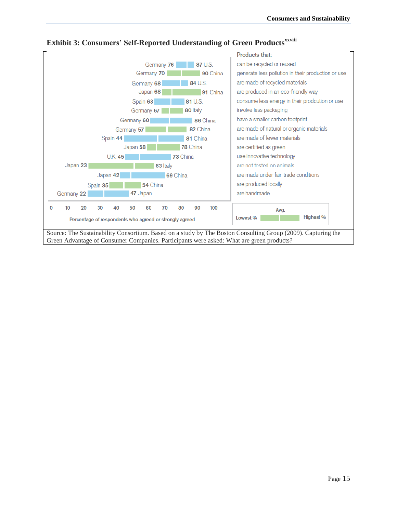

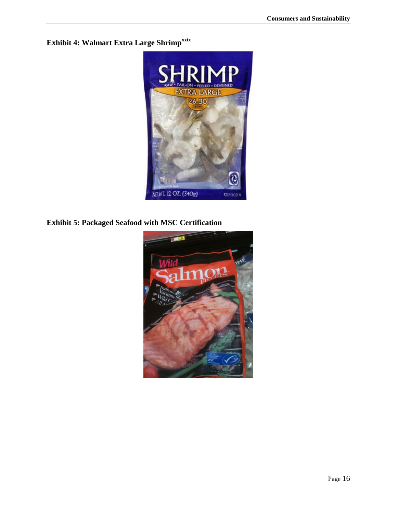**Exhibit 4: Walmart Extra Large Shrimpxxix**



**Exhibit 5: Packaged Seafood with MSC Certification**

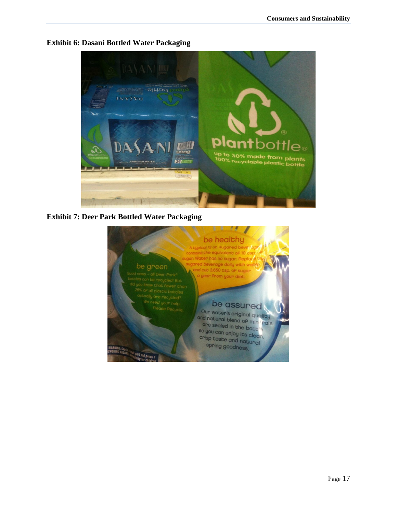

### **Exhibit 6: Dasani Bottled Water Packaging**

## **Exhibit 7: Deer Park Bottled Water Packaging**

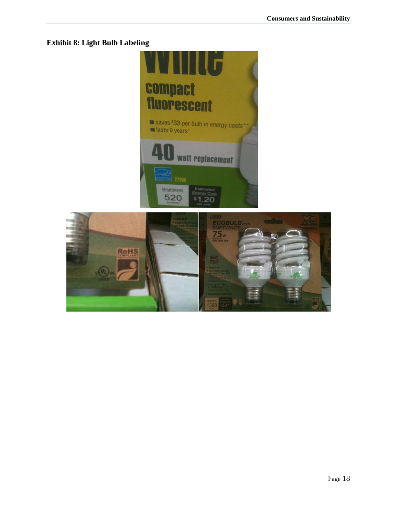## **Exhibit 8: Light Bulb Labeling**

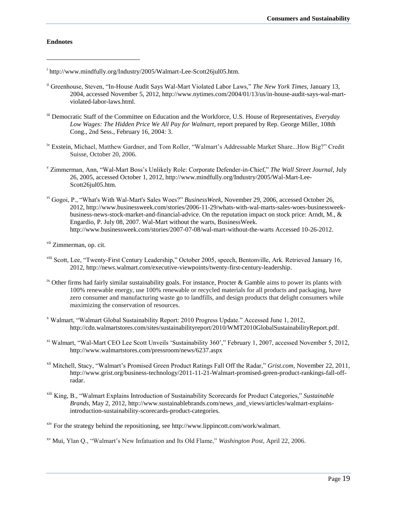#### **Endnotes**

 $\overline{a}$ 

<sup>i</sup> http://www.mindfully.org/Industry/2005/Walmart-Lee-Scott26jul05.htm.

- ii Greenhouse, Steven, "In-House Audit Says Wal-Mart Violated Labor Laws," *The New York Times,* January 13, 2004, accessed November 5, 2012, http://www.nytimes.com/2004/01/13/us/in-house-audit-says-wal-martviolated-labor-laws.html.
- iii Democratic Staff of the Committee on Education and the Workforce, U.S. House of Representatives, *Everyday Low Wages: The Hidden Price We All Pay for Walmart*, report prepared by Rep. George Miller, 108th Cong., 2nd Sess., February 16, 2004: 3.
- iv Exstein, Michael, Matthew Gardner, and Tom Roller, "Walmart's Addressable Market Share...How Big?" Credit Suisse, October 20, 2006.
- <sup>v</sup> Zimmerman, Ann, "Wal-Mart Boss's Unlikely Role: Corporate Defender-in-Chief," *The Wall Street Journal*, July 26, 2005, accessed October 1, 2012, http://www.mindfully.org/Industry/2005/Wal-Mart-Lee-Scott26jul05.htm.
- vi Gogoi, P., "What's With Wal-Mart's Sales Woes?" *BusinessWeek*, November 29, 2006, accessed October 26, 2012, http://www.businessweek.com/stories/2006-11-29/whats-with-wal-marts-sales-woes-businessweekbusiness-news-stock-market-and-financial-advice. On the reputation impact on stock price: Arndt, M., & Engardio, P. July 08, 2007. Wal-Mart without the warts, BusinessWeek. http://www.businessweek.com/stories/2007-07-08/wal-mart-without-the-warts Accessed 10-26-2012.

<sup>vii</sup> Zimmerman, op. cit.

- viii Scott, Lee, "Twenty-First Century Leadership," October 2005, speech, Bentonville, Ark. Retrieved January 16, 2012, http://news.walmart.com/executive-viewpoints/twenty-first-century-leadership.
- $i<sup>x</sup>$  Other firms had fairly similar sustainability goals. For instance, Procter & Gamble aims to power its plants with 100% renewable energy, use 100% renewable or recycled materials for all products and packaging, have zero consumer and manufacturing waste go to landfills, and design products that delight consumers while maximizing the conservation of resources.
- <sup>x</sup> Walmart, "Walmart Global Sustainability Report: 2010 Progress Update." Accessed June 1, 2012, http://cdn.walmartstores.com/sites/sustainabilityreport/2010/WMT2010GlobalSustainabilityReport.pdf.
- xi Walmart, "Wal-Mart CEO Lee Scott Unveils 'Sustainability 360'," February 1, 2007, accessed November 5, 2012, http://www.walmartstores.com/pressroom/news/6237.aspx
- xii Mitchell, Stacy, "Walmart's Promised Green Product Ratings Fall Off the Radar," *Grist.com*, November 22, 2011, http://www.grist.org/business-technology/2011-11-21-Walmart-promised-green-product-rankings-fall-offradar.
- xiii King, B., "Walmart Explains Introduction of Sustainability Scorecards for Product Categories," *Sustainable Brands*, May 2, 2012, http://www.sustainablebrands.com/news\_and\_views/articles/walmart-explainsintroduction-sustainability-scorecards-product-categories.

xiv For the strategy behind the repositioning, see http://www.lippincott.com/work/walmart.

xv Mui, Ylan Q., "Walmart's New Infatuation and Its Old Flame," *Washington Post*, April 22, 2006.